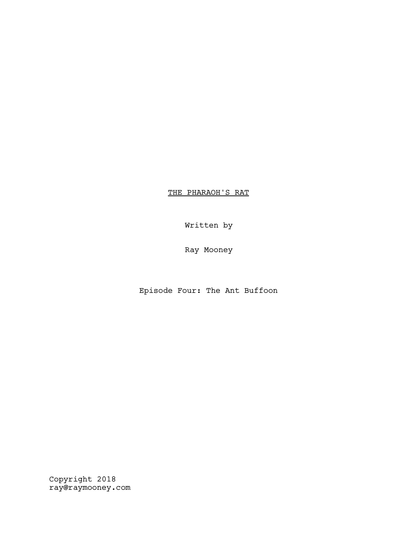THE PHARAOH'S RAT

Written by

Ray Mooney

Episode Four: The Ant Buffoon

Copyright 2018 ray@raymooney.com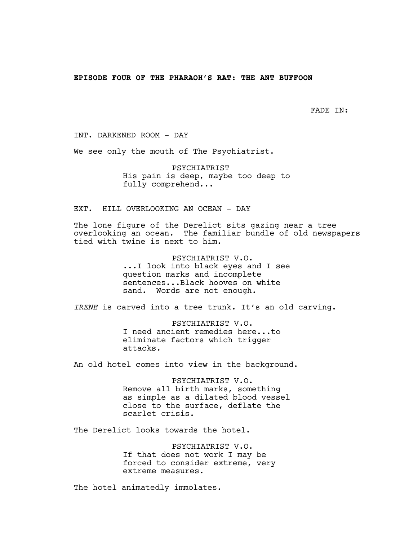#### EPISODE FOUR OF THE PHARAOH'S RAT: THE ANT BUFFOON

FADE IN:

INT. DARKENED ROOM - DAY

We see only the mouth of The Psychiatrist.

PSYCHIATRIST His pain is deep, maybe too deep to fully comprehend...

EXT. HILL OVERLOOKING AN OCEAN - DAY

The lone figure of the Derelict sits gazing near a tree overlooking an ocean. The familiar bundle of old newspapers tied with twine is next to him.

> PSYCHIATRIST V.O. ...I look into black eyes and I see question marks and incomplete sentences...Black hooves on white sand. Words are not enough.

IRENE is carved into a tree trunk. It's an old carving.

PSYCHIATRIST V.O. I need ancient remedies here...to eliminate factors which trigger attacks.

An old hotel comes into view in the background.

PSYCHIATRIST V.O. Remove all birth marks, something as simple as a dilated blood vessel close to the surface, deflate the scarlet crisis.

The Derelict looks towards the hotel.

PSYCHIATRIST V.O. If that does not work I may be forced to consider extreme, very extreme measures.

The hotel animatedly immolates.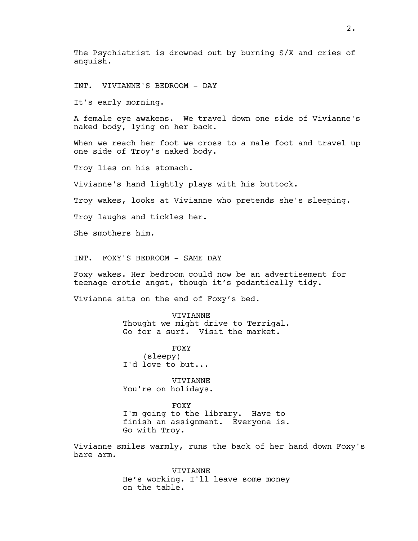The Psychiatrist is drowned out by burning S/X and cries of anguish.

INT. VIVIANNE'S BEDROOM - DAY

It's early morning.

A female eye awakens. We travel down one side of Vivianne's naked body, lying on her back.

When we reach her foot we cross to a male foot and travel up one side of Troy's naked body.

Troy lies on his stomach.

Vivianne's hand lightly plays with his buttock.

Troy wakes, looks at Vivianne who pretends she's sleeping.

Troy laughs and tickles her.

She smothers him.

INT. FOXY'S BEDROOM - SAME DAY

Foxy wakes. Her bedroom could now be an advertisement for teenage erotic angst, though it's pedantically tidy.

Vivianne sits on the end of Foxy's bed.

VIVIANNE Thought we might drive to Terrigal. Go for a surf. Visit the market.

FOXY (sleepy) I'd love to but...

VIVIANNE You're on holidays.

FOXY I'm going to the library. Have to finish an assignment. Everyone is. Go with Troy.

Vivianne smiles warmly, runs the back of her hand down Foxy's bare arm.

> VIVIANNE He's working. I'll leave some money on the table.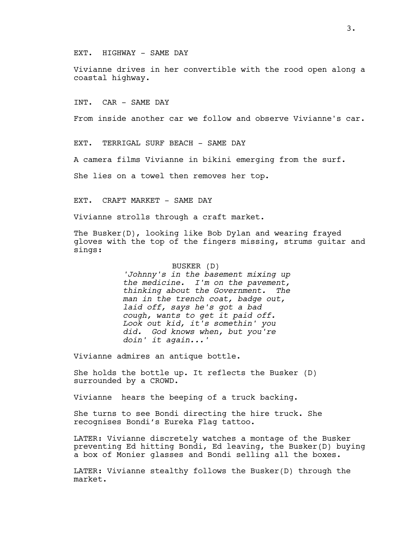## EXT. HIGHWAY - SAME DAY

Vivianne drives in her convertible with the rood open along a coastal highway.

INT. CAR - SAME DAY

From inside another car we follow and observe Vivianne's car.

EXT. TERRIGAL SURF BEACH - SAME DAY

A camera films Vivianne in bikini emerging from the surf.

She lies on a towel then removes her top.

EXT. CRAFT MARKET - SAME DAY

Vivianne strolls through a craft market.

The Busker(D), looking like Bob Dylan and wearing frayed gloves with the top of the fingers missing, strums guitar and sings:

#### BUSKER (D)

'Johnny's in the basement mixing up the medicine. I'm on the pavement, thinking about the Government. The man in the trench coat, badge out, laid off, says he's got a bad cough, wants to get it paid off. Look out kid, it's somethin' you did. God knows when, but you're doin' it again...'

Vivianne admires an antique bottle.

She holds the bottle up. It reflects the Busker (D) surrounded by a CROWD.

Vivianne hears the beeping of a truck backing.

She turns to see Bondi directing the hire truck. She recognises Bondi's Eureka Flag tattoo.

LATER: Vivianne discretely watches a montage of the Busker preventing Ed hitting Bondi, Ed leaving, the Busker(D) buying a box of Monier glasses and Bondi selling all the boxes.

LATER: Vivianne stealthy follows the Busker(D) through the market.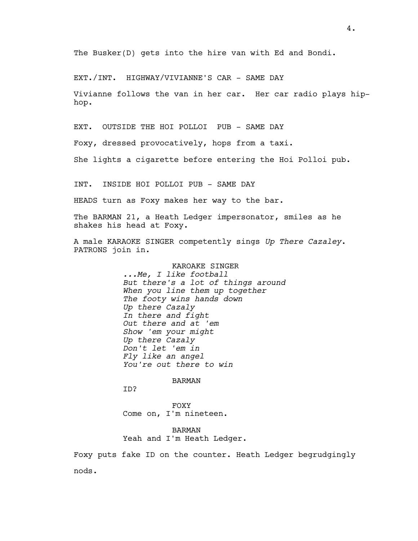The Busker(D) gets into the hire van with Ed and Bondi.

EXT./INT. HIGHWAY/VIVIANNE'S CAR - SAME DAY

Vivianne follows the van in her car. Her car radio plays hiphop.

EXT. OUTSIDE THE HOI POLLOI PUB - SAME DAY

Foxy, dressed provocatively, hops from a taxi.

She lights a cigarette before entering the Hoi Polloi pub.

INT. INSIDE HOI POLLOI PUB - SAME DAY

HEADS turn as Foxy makes her way to the bar.

The BARMAN 21, a Heath Ledger impersonator, smiles as he shakes his head at Foxy.

A male KARAOKE SINGER competently sings Up There Cazaley. PATRONS join in.

> KAROAKE SINGER ...Me, I like football But there's a lot of things around When you line them up together The footy wins hands down Up there Cazaly In there and fight Out there and at 'em Show 'em your might Up there Cazaly Don't let 'em in Fly like an angel You're out there to win

#### BARMAN

ID?

FOXY Come on, I'm nineteen.

BARMAN Yeah and I'm Heath Ledger.

Foxy puts fake ID on the counter. Heath Ledger begrudgingly nods.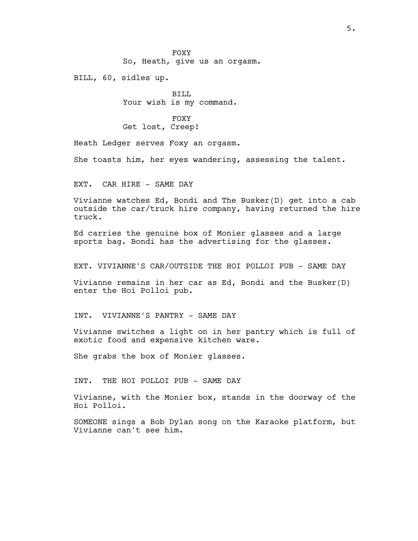FOXY So, Heath, give us an orgasm.

BILL, 60, sidles up.

BILL Your wish is my command.

FOXY Get lost, Creep!

Heath Ledger serves Foxy an orgasm.

She toasts him, her eyes wandering, assessing the talent.

EXT. CAR HIRE - SAME DAY

Vivianne watches Ed, Bondi and The Busker(D) get into a cab outside the car/truck hire company, having returned the hire truck.

Ed carries the genuine box of Monier glasses and a large sports bag. Bondi has the advertising for the glasses.

EXT. VIVIANNE'S CAR/OUTSIDE THE HOI POLLOI PUB - SAME DAY

Vivianne remains in her car as Ed, Bondi and the Busker(D) enter the Hoi Polloi pub.

INT. VIVIANNE'S PANTRY - SAME DAY

Vivianne switches a light on in her pantry which is full of exotic food and expensive kitchen ware.

She grabs the box of Monier glasses.

INT. THE HOI POLLOI PUB - SAME DAY

Vivianne, with the Monier box, stands in the doorway of the Hoi Polloi.

SOMEONE sings a Bob Dylan song on the Karaoke platform, but Vivianne can't see him.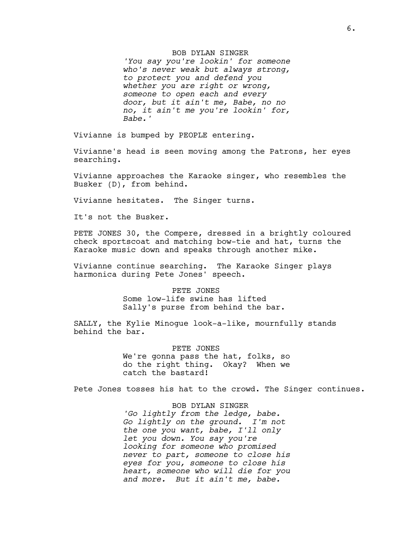## BOB DYLAN SINGER

'You say you're lookin' for someone who's never weak but always strong, to protect you and defend you whether you are right or wrong, someone to open each and every door, but it ain't me, Babe, no no no, it ain't me you're lookin' for, Babe.'

Vivianne is bumped by PEOPLE entering.

Vivianne's head is seen moving among the Patrons, her eyes searching.

Vivianne approaches the Karaoke singer, who resembles the Busker (D), from behind.

Vivianne hesitates. The Singer turns.

It's not the Busker.

PETE JONES 30, the Compere, dressed in a brightly coloured check sportscoat and matching bow-tie and hat, turns the Karaoke music down and speaks through another mike.

Vivianne continue searching. The Karaoke Singer plays harmonica during Pete Jones' speech.

> PETE JONES Some low-life swine has lifted Sally's purse from behind the bar.

SALLY, the Kylie Minogue look-a-like, mournfully stands behind the bar.

> PETE JONES We're gonna pass the hat, folks, so do the right thing. Okay? When we catch the bastard!

Pete Jones tosses his hat to the crowd. The Singer continues.

BOB DYLAN SINGER 'Go lightly from the ledge, babe. Go lightly on the ground. I'm not the one you want, babe, I'll only let you down. You say you're looking for someone who promised never to part, someone to close his eyes for you, someone to close his heart, someone who will die for you and more. But it ain't me, babe.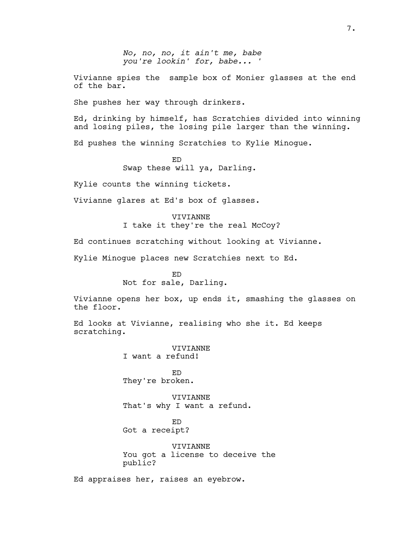No, no, no, it ain't me, babe you're lookin' for, babe... '

Vivianne spies the sample box of Monier glasses at the end of the bar.

She pushes her way through drinkers.

Ed, drinking by himself, has Scratchies divided into winning and losing piles, the losing pile larger than the winning.

Ed pushes the winning Scratchies to Kylie Minogue.

ED Swap these will ya, Darling.

Kylie counts the winning tickets.

Vivianne glares at Ed's box of glasses.

VIVIANNE I take it they're the real McCoy?

Ed continues scratching without looking at Vivianne.

Kylie Minogue places new Scratchies next to Ed.

ED Not for sale, Darling.

Vivianne opens her box, up ends it, smashing the glasses on the floor.

Ed looks at Vivianne, realising who she it. Ed keeps scratching.

> VIVIANNE I want a refund!

ED They're broken.

VIVIANNE That's why I want a refund.

ED Got a receipt?

VIVIANNE You got a license to deceive the public?

Ed appraises her, raises an eyebrow.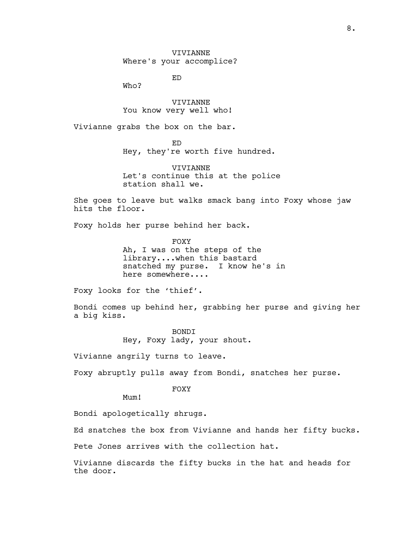VIVIANNE Where's your accomplice?

ED

Who?

VIVIANNE You know very well who!

Vivianne grabs the box on the bar.

ED Hey, they're worth five hundred.

VIVIANNE Let's continue this at the police station shall we.

She goes to leave but walks smack bang into Foxy whose jaw hits the floor.

Foxy holds her purse behind her back.

FOXY Ah, I was on the steps of the library....when this bastard snatched my purse. I know he's in here somewhere....

Foxy looks for the 'thief'.

Bondi comes up behind her, grabbing her purse and giving her a big kiss.

> BONDI Hey, Foxy lady, your shout.

Vivianne angrily turns to leave.

Foxy abruptly pulls away from Bondi, snatches her purse.

FOXY

Mum!

Bondi apologetically shrugs.

Ed snatches the box from Vivianne and hands her fifty bucks.

Pete Jones arrives with the collection hat.

Vivianne discards the fifty bucks in the hat and heads for the door.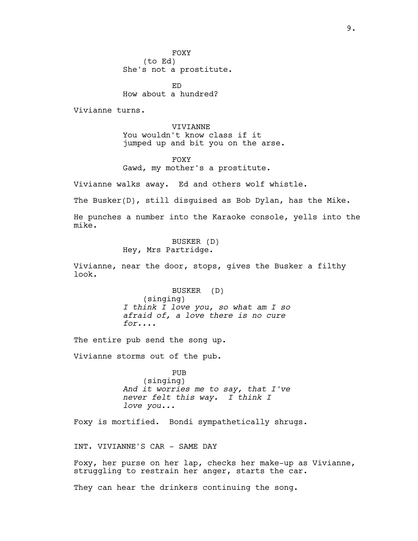**FOXY** (to Ed) She's not a prostitute.

ED How about a hundred?

Vivianne turns.

VIVIANNE You wouldn't know class if it jumped up and bit you on the arse.

**FOXY** Gawd, my mother's a prostitute.

Vivianne walks away. Ed and others wolf whistle.

The Busker(D), still disquised as Bob Dylan, has the Mike.

He punches a number into the Karaoke console, yells into the mike.

> BUSKER (D) Hey, Mrs Partridge.

Vivianne, near the door, stops, gives the Busker a filthy look.

> BUSKER (D) (singing) I think I love you, so what am I so afraid of, a love there is no cure for....

The entire pub send the song up.

Vivianne storms out of the pub.

PUB (singing) And it worries me to say, that I've never felt this way. I think I love you...

Foxy is mortified. Bondi sympathetically shrugs.

INT. VIVIANNE'S CAR - SAME DAY

Foxy, her purse on her lap, checks her make-up as Vivianne, struggling to restrain her anger, starts the car.

They can hear the drinkers continuing the song.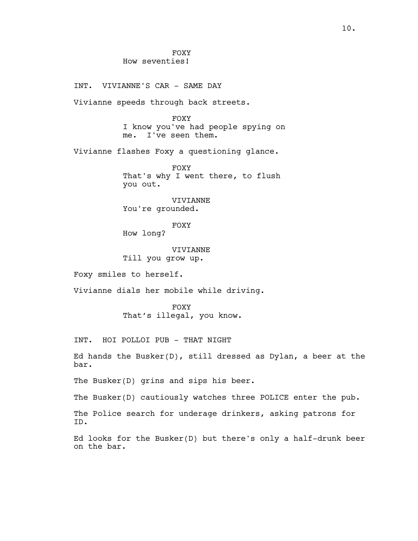INT. VIVIANNE'S CAR - SAME DAY Vivianne speeds through back streets. FOXY I know you've had people spying on me. I've seen them. Vivianne flashes Foxy a questioning glance. FOXY That's why I went there, to flush you out. VIVIANNE You're grounded. FOXY How long? VIVIANNE Till you grow up. Foxy smiles to herself. Vivianne dials her mobile while driving. FOXY That's illegal, you know. INT. HOI POLLOI PUB - THAT NIGHT Ed hands the Busker(D), still dressed as Dylan, a beer at the bar. The Busker(D) grins and sips his beer. The Busker(D) cautiously watches three POLICE enter the pub. The Police search for underage drinkers, asking patrons for ID. Ed looks for the Busker(D) but there's only a half-drunk beer on the bar.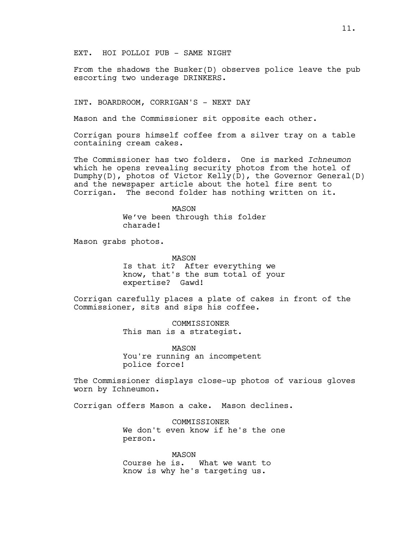EXT. HOI POLLOI PUB - SAME NIGHT

From the shadows the Busker(D) observes police leave the pub escorting two underage DRINKERS.

INT. BOARDROOM, CORRIGAN'S - NEXT DAY

Mason and the Commissioner sit opposite each other.

Corrigan pours himself coffee from a silver tray on a table containing cream cakes.

The Commissioner has two folders. One is marked Ichneumon which he opens revealing security photos from the hotel of Dumphy(D), photos of Victor Kelly(D), the Governor General(D) and the newspaper article about the hotel fire sent to Corrigan. The second folder has nothing written on it.

> MASON We've been through this folder charade!

Mason grabs photos.

MASON Is that it? After everything we know, that's the sum total of your expertise? Gawd!

Corrigan carefully places a plate of cakes in front of the Commissioner, sits and sips his coffee.

> COMMISSIONER This man is a strategist.

MASON You're running an incompetent police force!

The Commissioner displays close-up photos of various gloves worn by Ichneumon.

Corrigan offers Mason a cake. Mason declines.

COMMISSIONER We don't even know if he's the one person.

MASON Course he is. What we want to know is why he's targeting us.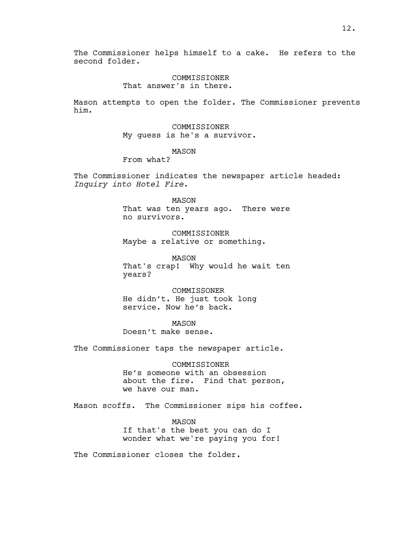The Commissioner helps himself to a cake. He refers to the second folder.

# COMMISSIONER

That answer's in there.

Mason attempts to open the folder. The Commissioner prevents him.

> COMMISSIONER My guess is he's a survivor.

## MASON

From what?

The Commissioner indicates the newspaper article headed: Inquiry into Hotel Fire.

> MASON That was ten years ago. There were no survivors.

COMMISSIONER Maybe a relative or something.

MASON That's crap! Why would he wait ten years?

COMMISSONER He didn't. He just took long service. Now he's back.

MASON Doesn't make sense.

The Commissioner taps the newspaper article.

# COMMISSIONER

He's someone with an obsession about the fire. Find that person, we have our man.

Mason scoffs. The Commissioner sips his coffee.

MASON If that's the best you can do I wonder what we're paying you for!

The Commissioner closes the folder.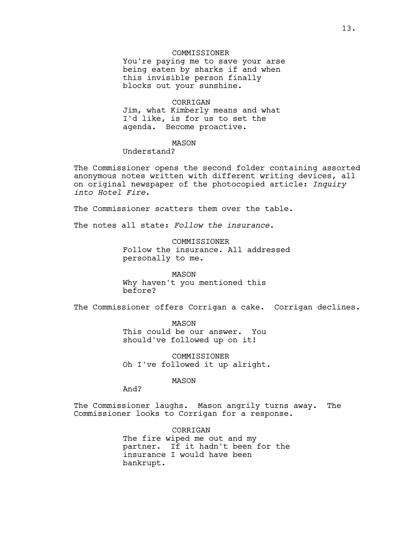# COMMISSIONER

You're paying me to save your arse being eaten by sharks if and when this invisible person finally blocks out your sunshine.

#### CORRIGAN

Jim, what Kimberly means and what I'd like, is for us to set the agenda. Become proactive.

## MASON

Understand?

The Commissioner opens the second folder containing assorted anonymous notes written with different writing devices, all on original newspaper of the photocopied article: Inquiry into Hotel Fire.

The Commissioner scatters them over the table.

The notes all state: Follow the insurance.

COMMISSIONER Follow the insurance. All addressed personally to me.

MASON Why haven't you mentioned this before?

The Commissioner offers Corrigan a cake. Corrigan declines.

MASON This could be our answer. You should've followed up on it!

COMMISSIONER Oh I've followed it up alright.

#### MASON

And?

The Commissioner laughs. Mason angrily turns away. The Commissioner looks to Corrigan for a response.

> CORRIGAN The fire wiped me out and my partner. If it hadn't been for the insurance I would have been bankrupt.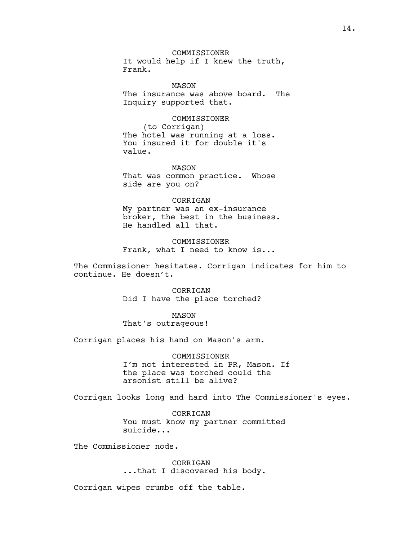COMMISSIONER It would help if I knew the truth, Frank.

MASON The insurance was above board. The Inquiry supported that.

COMMISSIONER (to Corrigan) The hotel was running at a loss. You insured it for double it's value.

MASON That was common practice. Whose side are you on?

CORRIGAN My partner was an ex-insurance broker, the best in the business. He handled all that.

COMMISSIONER Frank, what I need to know is...

The Commissioner hesitates. Corrigan indicates for him to continue. He doesn't.

> CORRIGAN Did I have the place torched?

MASON That's outrageous!

Corrigan places his hand on Mason's arm.

COMMISSIONER I'm not interested in PR, Mason. If the place was torched could the arsonist still be alive?

Corrigan looks long and hard into The Commissioner's eyes.

CORRIGAN You must know my partner committed suicide...

The Commissioner nods.

CORRIGAN ...that I discovered his body.

Corrigan wipes crumbs off the table.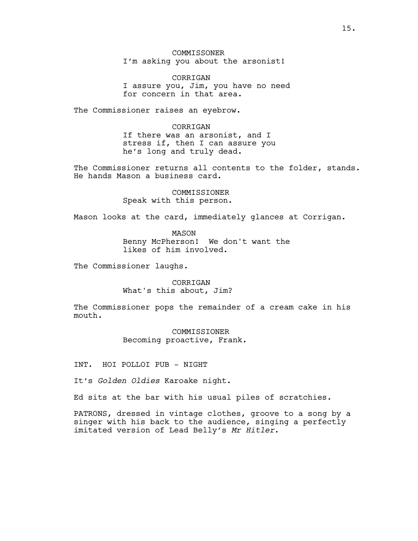COMMISSONER I'm asking you about the arsonist!

CORRIGAN I assure you, Jim, you have no need for concern in that area.

The Commissioner raises an eyebrow.

CORRIGAN If there was an arsonist, and I stress if, then I can assure you he's long and truly dead.

The Commissioner returns all contents to the folder, stands. He hands Mason a business card.

> COMMISSIONER Speak with this person.

Mason looks at the card, immediately glances at Corrigan.

MASON Benny McPherson! We don't want the likes of him involved.

The Commissioner laughs.

CORRIGAN What's this about, Jim?

The Commissioner pops the remainder of a cream cake in his mouth.

> COMMISSIONER Becoming proactive, Frank.

INT. HOI POLLOI PUB - NIGHT

It's Golden Oldies Karoake night.

Ed sits at the bar with his usual piles of scratchies.

PATRONS, dressed in vintage clothes, groove to a song by a singer with his back to the audience, singing a perfectly imitated version of Lead Belly's Mr Hitler.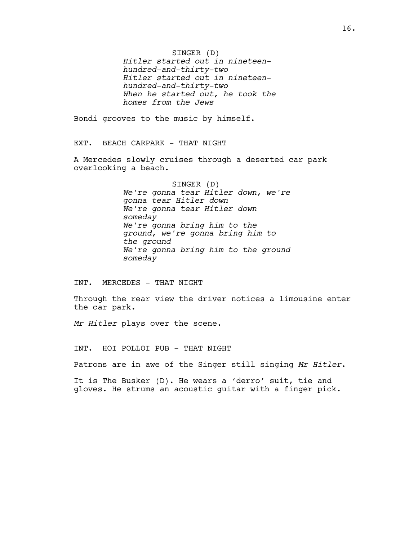SINGER (D) Hitler started out in nineteenhundred-and-thirty-two Hitler started out in nineteenhundred-and-thirty-two When he started out, he took the homes from the Jews

Bondi grooves to the music by himself.

EXT. BEACH CARPARK - THAT NIGHT

A Mercedes slowly cruises through a deserted car park overlooking a beach.

> SINGER (D) We're gonna tear Hitler down, we're gonna tear Hitler down We're gonna tear Hitler down someday We're gonna bring him to the ground, we're gonna bring him to the ground We're gonna bring him to the ground someday

INT. MERCEDES - THAT NIGHT

Through the rear view the driver notices a limousine enter the car park.

Mr Hitler plays over the scene.

INT. HOI POLLOI PUB - THAT NIGHT

Patrons are in awe of the Singer still singing Mr Hitler.

It is The Busker (D). He wears a 'derro' suit, tie and gloves. He strums an acoustic guitar with a finger pick.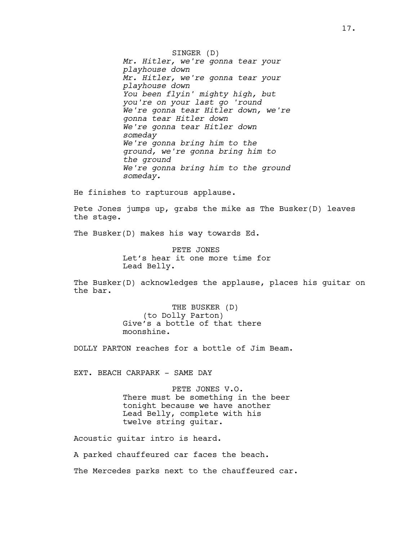SINGER (D) Mr. Hitler, we're gonna tear your playhouse down Mr. Hitler, we're gonna tear your playhouse down You been flyin' mighty high, but you're on your last go 'round We're gonna tear Hitler down, we're gonna tear Hitler down We're gonna tear Hitler down someday We're gonna bring him to the ground, we're gonna bring him to the ground We're gonna bring him to the ground someday.

He finishes to rapturous applause.

Pete Jones jumps up, grabs the mike as The Busker(D) leaves the stage.

The Busker(D) makes his way towards Ed.

PETE JONES Let's hear it one more time for Lead Belly.

The Busker(D) acknowledges the applause, places his quitar on the bar.

> THE BUSKER (D) (to Dolly Parton) Give's a bottle of that there moonshine.

DOLLY PARTON reaches for a bottle of Jim Beam.

EXT. BEACH CARPARK - SAME DAY

PETE JONES V.O. There must be something in the beer tonight because we have another Lead Belly, complete with his twelve string guitar.

Acoustic guitar intro is heard.

A parked chauffeured car faces the beach.

The Mercedes parks next to the chauffeured car.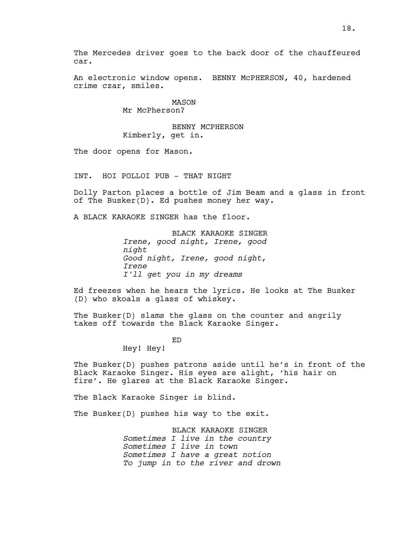The Mercedes driver goes to the back door of the chauffeured car.

An electronic window opens. BENNY McPHERSON, 40, hardened crime czar, smiles.

> MASON Mr McPherson?

BENNY MCPHERSON Kimberly, get in.

The door opens for Mason.

INT. HOI POLLOI PUB - THAT NIGHT

Dolly Parton places a bottle of Jim Beam and a glass in front of The Busker(D). Ed pushes money her way.

A BLACK KARAOKE SINGER has the floor.

BLACK KARAOKE SINGER Irene, good night, Irene, good night Good night, Irene, good night, Irene I'll get you in my dreams

Ed freezes when he hears the lyrics. He looks at The Busker (D) who skoals a glass of whiskey.

The Busker(D) slams the glass on the counter and angrily takes off towards the Black Karaoke Singer.

ED

Hey! Hey!

The Busker(D) pushes patrons aside until he's in front of the Black Karaoke Singer. His eyes are alight, 'his hair on fire'. He glares at the Black Karaoke Singer.

The Black Karaoke Singer is blind.

The Busker(D) pushes his way to the exit.

BLACK KARAOKE SINGER Sometimes I live in the country Sometimes I live in town Sometimes I have a great notion To jump in to the river and drown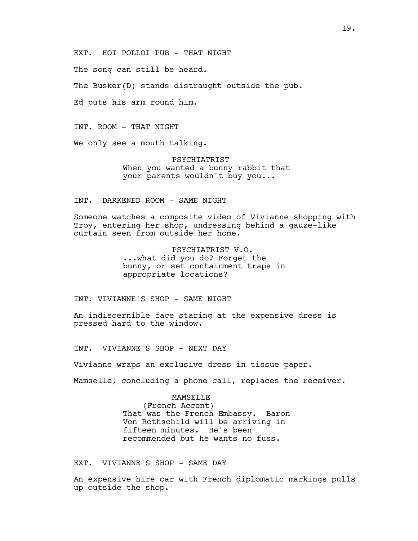EXT. HOI POLLOI PUB - THAT NIGHT

The song can still be heard.

The Busker(D) stands distraught outside the pub.

Ed puts his arm round him.

INT. ROOM - THAT NIGHT

We only see a mouth talking.

PSYCHIATRIST When you wanted a bunny rabbit that your parents wouldn't buy you...

#### INT. DARKENED ROOM - SAME NIGHT

Someone watches a composite video of Vivianne shopping with Troy, entering her shop, undressing behind a gauze-like curtain seen from outside her home.

> PSYCHIATRIST V.O. ...what did you do? Forget the bunny, or set containment traps in appropriate locations?

INT. VIVIANNE'S SHOP - SAME NIGHT

An indiscernible face staring at the expensive dress is pressed hard to the window.

INT. VIVIANNE'S SHOP - NEXT DAY

Vivianne wraps an exclusive dress in tissue paper.

Mamselle, concluding a phone call, replaces the receiver.

## MAMSELLE

(French Accent) That was the French Embassy. Baron Von Rothschild will be arriving in fifteen minutes. He's been recommended but he wants no fuss.

EXT. VIVIANNE'S SHOP - SAME DAY

An expensive hire car with French diplomatic markings pulls up outside the shop.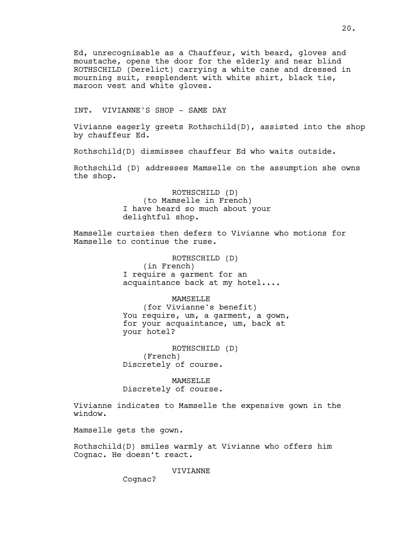Ed, unrecognisable as a Chauffeur, with beard, gloves and moustache, opens the door for the elderly and near blind ROTHSCHILD (Derelict) carrying a white cane and dressed in mourning suit, resplendent with white shirt, black tie, maroon vest and white gloves.

## INT. VIVIANNE'S SHOP - SAME DAY

Vivianne eagerly greets Rothschild(D), assisted into the shop by chauffeur Ed.

Rothschild(D) dismisses chauffeur Ed who waits outside.

Rothschild (D) addresses Mamselle on the assumption she owns the shop.

> ROTHSCHILD (D) (to Mamselle in French) I have heard so much about your delightful shop.

Mamselle curtsies then defers to Vivianne who motions for Mamselle to continue the ruse.

> ROTHSCHILD (D) (in French) I require a garment for an acquaintance back at my hotel....

## MAMSELLE

(for Vivianne's benefit) You require, um, a garment, a gown, for your acquaintance, um, back at your hotel?

ROTHSCHILD (D) (French) Discretely of course.

MAMSELLE Discretely of course.

Vivianne indicates to Mamselle the expensive gown in the window.

Mamselle gets the gown.

Rothschild(D) smiles warmly at Vivianne who offers him Cognac. He doesn't react.

#### VIVIANNE

Cognac?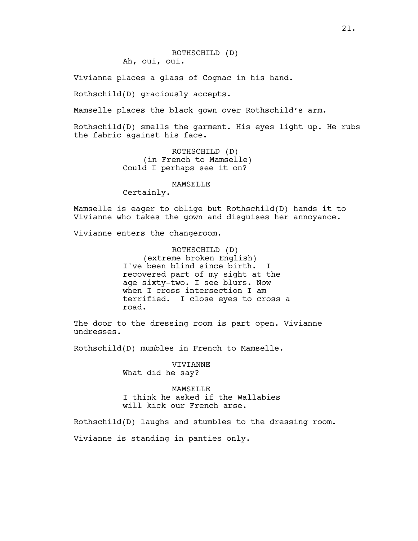Vivianne places a glass of Cognac in his hand.

Rothschild(D) graciously accepts.

Mamselle places the black gown over Rothschild's arm.

Rothschild(D) smells the garment. His eyes light up. He rubs the fabric against his face.

> ROTHSCHILD (D) (in French to Mamselle) Could I perhaps see it on?

## MAMSELLE

Certainly.

Mamselle is eager to oblige but Rothschild(D) hands it to Vivianne who takes the gown and disguises her annoyance.

Vivianne enters the changeroom.

ROTHSCHILD (D) (extreme broken English) I've been blind since birth. I recovered part of my sight at the age sixty-two. I see blurs. Now when I cross intersection I am terrified. I close eyes to cross a road.

The door to the dressing room is part open. Vivianne undresses.

Rothschild(D) mumbles in French to Mamselle.

VIVIANNE What did he say?

MAMSELLE I think he asked if the Wallabies will kick our French arse.

Rothschild(D) laughs and stumbles to the dressing room.

Vivianne is standing in panties only.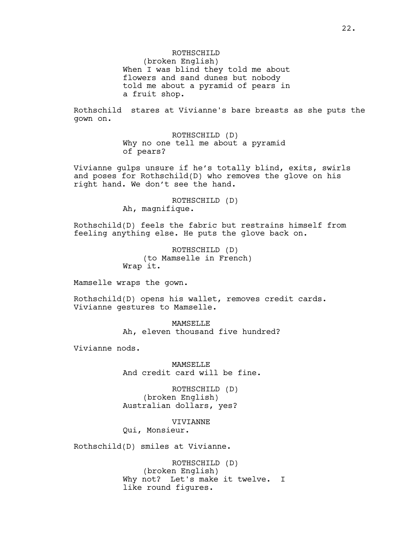ROTHSCHILD (broken English) When I was blind they told me about flowers and sand dunes but nobody told me about a pyramid of pears in a fruit shop.

Rothschild stares at Vivianne's bare breasts as she puts the gown on.

> ROTHSCHILD (D) Why no one tell me about a pyramid of pears?

Vivianne gulps unsure if he's totally blind, exits, swirls and poses for Rothschild(D) who removes the glove on his right hand. We don't see the hand.

> ROTHSCHILD (D) Ah, magnifique.

Rothschild(D) feels the fabric but restrains himself from feeling anything else. He puts the glove back on.

> ROTHSCHILD (D) (to Mamselle in French) Wrap it.

Mamselle wraps the gown.

Rothschild(D) opens his wallet, removes credit cards. Vivianne gestures to Mamselle.

> **MAMSELLE** Ah, eleven thousand five hundred?

Vivianne nods.

MAMSELLE And credit card will be fine.

ROTHSCHILD (D) (broken English) Australian dollars, yes?

VIVIANNE Qui, Monsieur.

Rothschild(D) smiles at Vivianne.

ROTHSCHILD (D) (broken English) Why not? Let's make it twelve. I like round figures.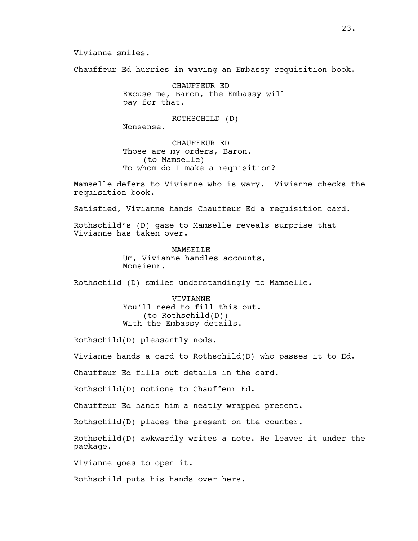Chauffeur Ed hurries in waving an Embassy requisition book.

CHAUFFEUR ED Excuse me, Baron, the Embassy will pay for that.

ROTHSCHILD (D) Nonsense.

CHAUFFEUR ED Those are my orders, Baron. (to Mamselle) To whom do I make a requisition?

Mamselle defers to Vivianne who is wary. Vivianne checks the requisition book.

Satisfied, Vivianne hands Chauffeur Ed a requisition card.

Rothschild's (D) gaze to Mamselle reveals surprise that Vivianne has taken over.

> **MAMSELLE** Um, Vivianne handles accounts, Monsieur.

Rothschild (D) smiles understandingly to Mamselle.

VIVIANNE You'll need to fill this out. (to Rothschild(D)) With the Embassy details.

Rothschild(D) pleasantly nods.

Vivianne hands a card to Rothschild( $D$ ) who passes it to Ed.

Chauffeur Ed fills out details in the card.

Rothschild(D) motions to Chauffeur Ed.

Chauffeur Ed hands him a neatly wrapped present.

Rothschild(D) places the present on the counter.

Rothschild(D) awkwardly writes a note. He leaves it under the package.

Vivianne goes to open it.

Rothschild puts his hands over hers.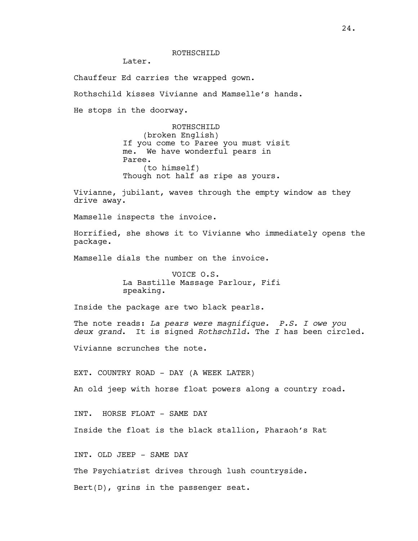Later.

Chauffeur Ed carries the wrapped gown.

Rothschild kisses Vivianne and Mamselle's hands.

He stops in the doorway.

ROTHSCHILD (broken English) If you come to Paree you must visit me. We have wonderful pears in Paree. (to himself) Though not half as ripe as yours.

Vivianne, jubilant, waves through the empty window as they drive away.

Mamselle inspects the invoice.

Horrified, she shows it to Vivianne who immediately opens the package.

Mamselle dials the number on the invoice.

VOICE O.S. La Bastille Massage Parlour, Fifi speaking.

Inside the package are two black pearls.

The note reads: La pears were magnifique. P.S. I owe you deux grand. It is signed RothschIld. The I has been circled.

Vivianne scrunches the note.

EXT. COUNTRY ROAD - DAY (A WEEK LATER)

An old jeep with horse float powers along a country road.

INT. HORSE FLOAT - SAME DAY

Inside the float is the black stallion, Pharaoh's Rat

INT. OLD JEEP - SAME DAY

The Psychiatrist drives through lush countryside.

Bert(D), grins in the passenger seat.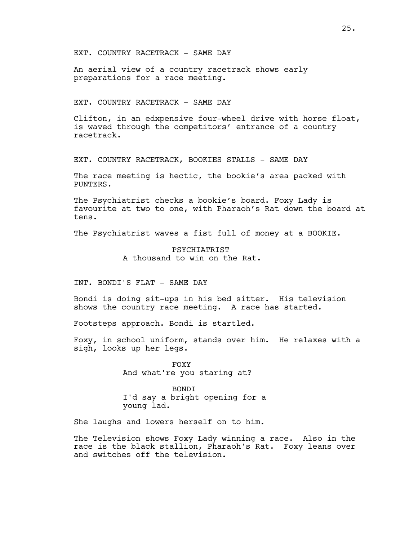EXT. COUNTRY RACETRACK - SAME DAY

An aerial view of a country racetrack shows early preparations for a race meeting.

EXT. COUNTRY RACETRACK - SAME DAY

Clifton, in an edxpensive four-wheel drive with horse float, is waved through the competitors' entrance of a country racetrack.

EXT. COUNTRY RACETRACK, BOOKIES STALLS - SAME DAY

The race meeting is hectic, the bookie's area packed with PUNTERS.

The Psychiatrist checks a bookie's board. Foxy Lady is favourite at two to one, with Pharaoh's Rat down the board at tens.

The Psychiatrist waves a fist full of money at a BOOKIE.

PSYCHIATRIST A thousand to win on the Rat.

INT. BONDI'S FLAT - SAME DAY

Bondi is doing sit-ups in his bed sitter. His television shows the country race meeting. A race has started.

Footsteps approach. Bondi is startled.

Foxy, in school uniform, stands over him. He relaxes with a sigh, looks up her legs.

> FOXY And what're you staring at?

**BONDI** I'd say a bright opening for a young lad.

She laughs and lowers herself on to him.

The Television shows Foxy Lady winning a race. Also in the race is the black stallion, Pharaoh's Rat. Foxy leans over and switches off the television.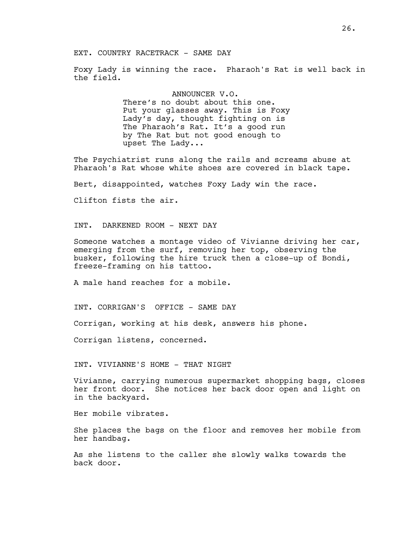EXT. COUNTRY RACETRACK - SAME DAY

Foxy Lady is winning the race. Pharaoh's Rat is well back in the field.

> ANNOUNCER V.O. There's no doubt about this one. Put your glasses away. This is Foxy Lady's day, thought fighting on is The Pharaoh's Rat. It's a good run by The Rat but not good enough to upset The Lady...

The Psychiatrist runs along the rails and screams abuse at Pharaoh's Rat whose white shoes are covered in black tape.

Bert, disappointed, watches Foxy Lady win the race.

Clifton fists the air.

INT. DARKENED ROOM - NEXT DAY

Someone watches a montage video of Vivianne driving her car, emerging from the surf, removing her top, observing the busker, following the hire truck then a close-up of Bondi, freeze-framing on his tattoo.

A male hand reaches for a mobile.

INT. CORRIGAN'S OFFICE - SAME DAY

Corrigan, working at his desk, answers his phone.

Corrigan listens, concerned.

INT. VIVIANNE'S HOME - THAT NIGHT

Vivianne, carrying numerous supermarket shopping bags, closes her front door. She notices her back door open and light on in the backyard.

Her mobile vibrates.

She places the bags on the floor and removes her mobile from her handbag.

As she listens to the caller she slowly walks towards the back door.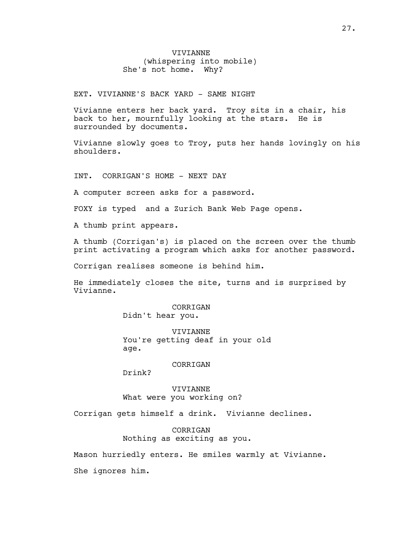EXT. VIVIANNE'S BACK YARD - SAME NIGHT

Vivianne enters her back yard. Troy sits in a chair, his back to her, mournfully looking at the stars. He is surrounded by documents.

Vivianne slowly goes to Troy, puts her hands lovingly on his shoulders.

INT. CORRIGAN'S HOME - NEXT DAY

A computer screen asks for a password.

FOXY is typed and a Zurich Bank Web Page opens.

A thumb print appears.

A thumb (Corrigan's) is placed on the screen over the thumb print activating a program which asks for another password.

Corrigan realises someone is behind him.

He immediately closes the site, turns and is surprised by Vivianne.

> **CORRIGAN** Didn't hear you.

VIVIANNE You're getting deaf in your old age.

CORRIGAN

Drink?

VIVIANNE What were you working on?

Corrigan gets himself a drink. Vivianne declines.

CORRIGAN Nothing as exciting as you.

Mason hurriedly enters. He smiles warmly at Vivianne. She ignores him.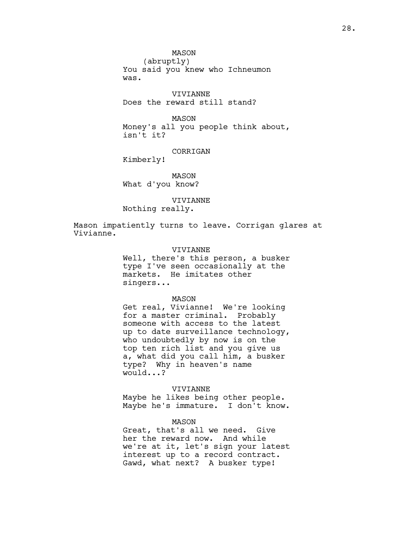MASON

(abruptly) You said you knew who Ichneumon was.

VIVIANNE Does the reward still stand?

MASON Money's all you people think about, isn't it?

CORRIGAN

Kimberly!

MASON What d'you know?

VIVIANNE

Nothing really.

Mason impatiently turns to leave. Corrigan glares at Vivianne.

## VIVIANNE

Well, there's this person, a busker type I've seen occasionally at the markets. He imitates other singers...

## MASON

Get real, Vivianne! We're looking for a master criminal. Probably someone with access to the latest up to date surveillance technology, who undoubtedly by now is on the top ten rich list and you give us a, what did you call him, a busker type? Why in heaven's name would...?

#### VIVIANNE

Maybe he likes being other people. Maybe he's immature. I don't know.

#### MASON

Great, that's all we need. Give her the reward now. And while we're at it, let's sign your latest interest up to a record contract. Gawd, what next? A busker type!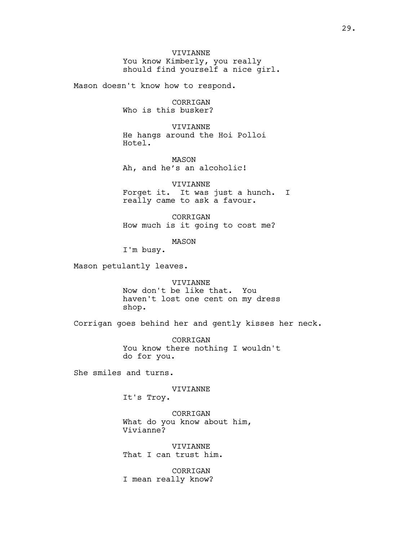VIVIANNE You know Kimberly, you really should find yourself a nice girl.

Mason doesn't know how to respond.

CORRIGAN Who is this busker?

VIVIANNE He hangs around the Hoi Polloi Hotel.

MASON Ah, and he's an alcoholic!

VIVIANNE Forget it. It was just a hunch. I really came to ask a favour.

CORRIGAN How much is it going to cost me?

MASON

I'm busy.

Mason petulantly leaves.

VIVIANNE Now don't be like that. You haven't lost one cent on my dress shop.

Corrigan goes behind her and gently kisses her neck.

CORRIGAN You know there nothing I wouldn't do for you.

She smiles and turns.

#### VIVIANNE

It's Troy.

CORRIGAN What do you know about him, Vivianne?

VIVIANNE That I can trust him.

CORRIGAN I mean really know?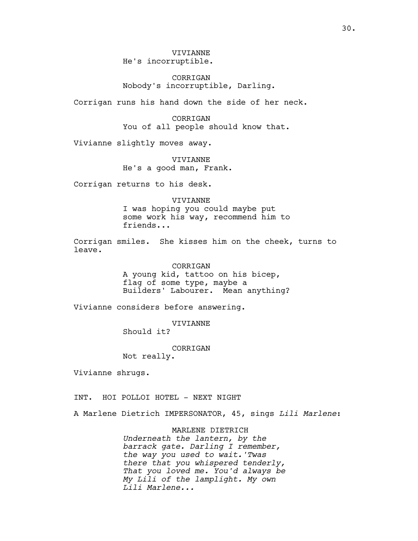VIVIANNE He's incorruptible.

CORRIGAN Nobody's incorruptible, Darling.

Corrigan runs his hand down the side of her neck.

CORRIGAN You of all people should know that.

Vivianne slightly moves away.

VIVIANNE He's a good man, Frank.

Corrigan returns to his desk.

#### VIVIANNE

I was hoping you could maybe put some work his way, recommend him to friends...

Corrigan smiles. She kisses him on the cheek, turns to leave.

> CORRIGAN A young kid, tattoo on his bicep, flag of some type, maybe a Builders' Labourer. Mean anything?

Vivianne considers before answering.

VIVIANNE

Should it?

CORRIGAN

Not really.

Vivianne shrugs.

INT. HOI POLLOI HOTEL - NEXT NIGHT

A Marlene Dietrich IMPERSONATOR, 45, sings Lili Marlene:

MARLENE DIETRICH Underneath the lantern, by the barrack gate. Darling I remember, the way you used to wait.'Twas there that you whispered tenderly, That you loved me. You'd always be My Lili of the lamplight. My own Lili Marlene...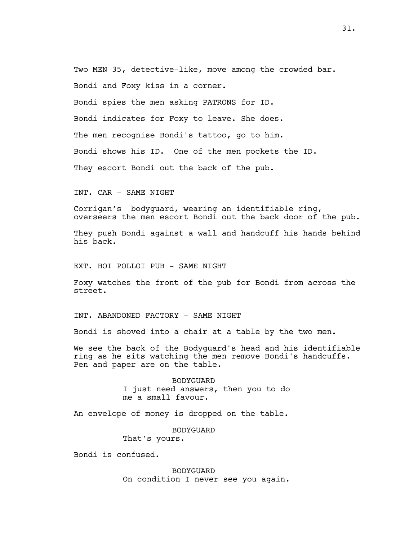Two MEN 35, detective-like, move among the crowded bar. Bondi and Foxy kiss in a corner. Bondi spies the men asking PATRONS for ID. Bondi indicates for Foxy to leave. She does. The men recognise Bondi's tattoo, go to him. Bondi shows his ID. One of the men pockets the ID. They escort Bondi out the back of the pub.

INT. CAR - SAME NIGHT

Corrigan's bodyguard, wearing an identifiable ring, overseers the men escort Bondi out the back door of the pub.

They push Bondi against a wall and handcuff his hands behind his back.

EXT. HOI POLLOI PUB - SAME NIGHT

Foxy watches the front of the pub for Bondi from across the street.

INT. ABANDONED FACTORY - SAME NIGHT

Bondi is shoved into a chair at a table by the two men.

We see the back of the Bodyguard's head and his identifiable ring as he sits watching the men remove Bondi's handcuffs. Pen and paper are on the table.

> BODYGUARD I just need answers, then you to do me a small favour.

An envelope of money is dropped on the table.

BODYGUARD That's yours.

Bondi is confused.

BODYGUARD On condition I never see you again.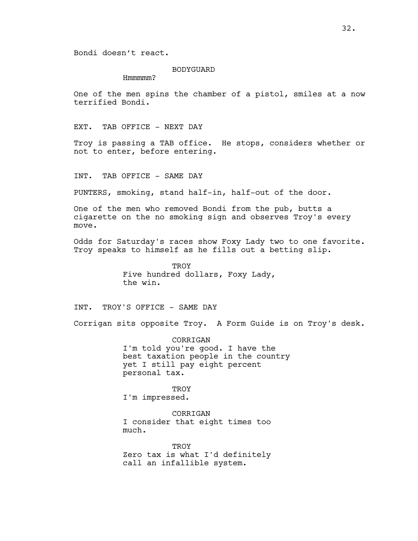Bondi doesn't react.

## BODYGUARD

Hmmmmm?

One of the men spins the chamber of a pistol, smiles at a now terrified Bondi.

EXT. TAB OFFICE - NEXT DAY

Troy is passing a TAB office. He stops, considers whether or not to enter, before entering.

INT. TAB OFFICE - SAME DAY

PUNTERS, smoking, stand half-in, half-out of the door.

One of the men who removed Bondi from the pub, butts a cigarette on the no smoking sign and observes Troy's every move.

Odds for Saturday's races show Foxy Lady two to one favorite. Troy speaks to himself as he fills out a betting slip.

> **TROY** Five hundred dollars, Foxy Lady, the win.

INT. TROY'S OFFICE - SAME DAY

Corrigan sits opposite Troy. A Form Guide is on Troy's desk.

CORRIGAN I'm told you're good. I have the best taxation people in the country yet I still pay eight percent personal tax.

TROY I'm impressed.

CORRIGAN I consider that eight times too much.

TROY Zero tax is what I'd definitely call an infallible system.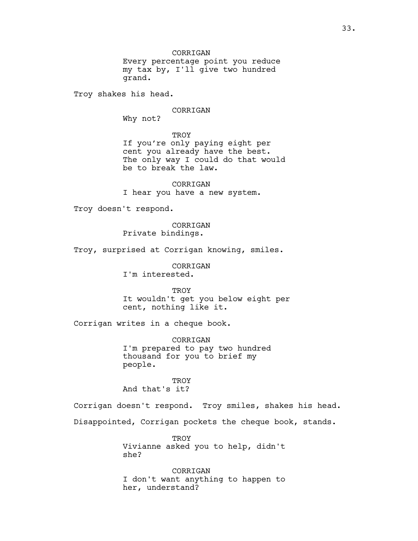**CORRIGAN** 

Every percentage point you reduce my tax by, I'll give two hundred grand.

Troy shakes his head.

## CORRIGAN

Why not?

# **TROY** If you're only paying eight per cent you already have the best. The only way I could do that would be to break the law.

CORRIGAN I hear you have a new system.

Troy doesn't respond.

CORRIGAN Private bindings.

Troy, surprised at Corrigan knowing, smiles.

CORRIGAN

I'm interested.

#### **TROY**

It wouldn't get you below eight per cent, nothing like it.

Corrigan writes in a cheque book.

CORRIGAN I'm prepared to pay two hundred thousand for you to brief my people.

**TROY** And that's it?

Corrigan doesn't respond. Troy smiles, shakes his head.

Disappointed, Corrigan pockets the cheque book, stands.

**TROY** Vivianne asked you to help, didn't she?

CORRIGAN I don't want anything to happen to her, understand?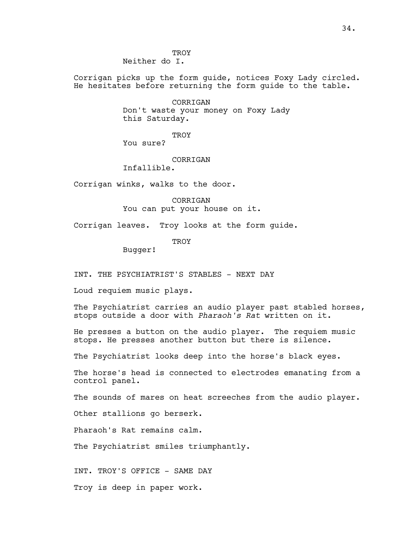Corrigan picks up the form guide, notices Foxy Lady circled. He hesitates before returning the form guide to the table.

> CORRIGAN Don't waste your money on Foxy Lady this Saturday.

**TROY** You sure?

**CORRIGAN** 

Infallible.

Corrigan winks, walks to the door.

CORRIGAN You can put your house on it.

Corrigan leaves. Troy looks at the form guide.

**TROY** 

Bugger!

INT. THE PSYCHIATRIST'S STABLES - NEXT DAY

Loud requiem music plays.

The Psychiatrist carries an audio player past stabled horses, stops outside a door with Pharaoh's Rat written on it.

He presses a button on the audio player. The requiem music stops. He presses another button but there is silence.

The Psychiatrist looks deep into the horse's black eyes.

The horse's head is connected to electrodes emanating from a control panel.

The sounds of mares on heat screeches from the audio player.

Other stallions go berserk.

Pharaoh's Rat remains calm.

The Psychiatrist smiles triumphantly.

INT. TROY'S OFFICE - SAME DAY

Troy is deep in paper work.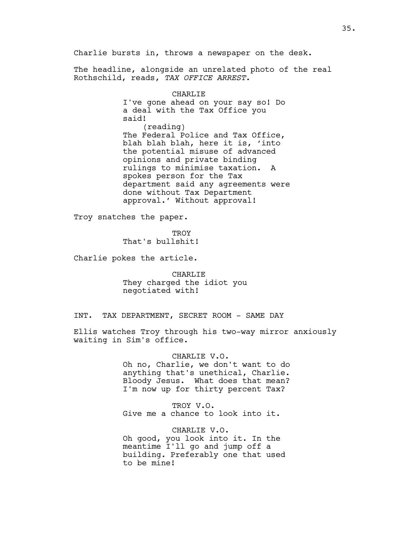Charlie bursts in, throws a newspaper on the desk.

The headline, alongside an unrelated photo of the real Rothschild, reads, TAX OFFICE ARREST.

> CHARLIE I've gone ahead on your say so! Do a deal with the Tax Office you said! (reading) The Federal Police and Tax Office, blah blah blah, here it is, 'into the potential misuse of advanced opinions and private binding rulings to minimise taxation. A spokes person for the Tax department said any agreements were done without Tax Department approval.' Without approval!

Troy snatches the paper.

**TROY** That's bullshit!

Charlie pokes the article.

CHARLIE They charged the idiot you negotiated with!

INT. TAX DEPARTMENT, SECRET ROOM - SAME DAY

Ellis watches Troy through his two-way mirror anxiously waiting in Sim's office.

> CHARLIE V.O. Oh no, Charlie, we don't want to do anything that's unethical, Charlie. Bloody Jesus. What does that mean? I'm now up for thirty percent Tax?

TROY V.O. Give me a chance to look into it.

CHARLIE V.O. Oh good, you look into it. In the meantime I'll go and jump off a building. Preferably one that used to be mine!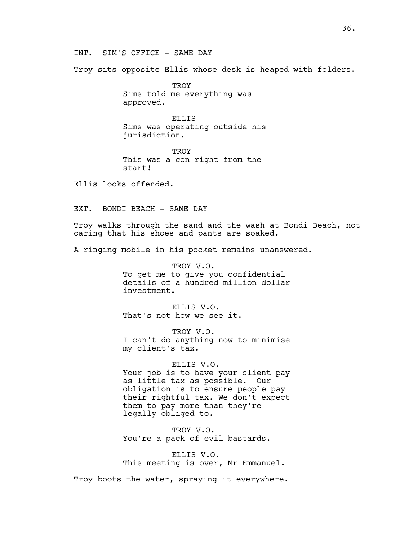INT. SIM'S OFFICE - SAME DAY

Troy sits opposite Ellis whose desk is heaped with folders.

**TROY** Sims told me everything was approved.

ELLIS Sims was operating outside his jurisdiction.

**TROY** This was a con right from the start!

Ellis looks offended.

EXT. BONDI BEACH - SAME DAY

Troy walks through the sand and the wash at Bondi Beach, not caring that his shoes and pants are soaked.

A ringing mobile in his pocket remains unanswered.

TROY V.O. To get me to give you confidential details of a hundred million dollar investment.

ELLIS V.O. That's not how we see it.

TROY V.O. I can't do anything now to minimise my client's tax.

ELLIS V.O. Your job is to have your client pay as little tax as possible. Our obligation is to ensure people pay their rightful tax. We don't expect them to pay more than they're legally obliged to.

TROY V.O. You're a pack of evil bastards.

ELLIS V.O. This meeting is over, Mr Emmanuel.

Troy boots the water, spraying it everywhere.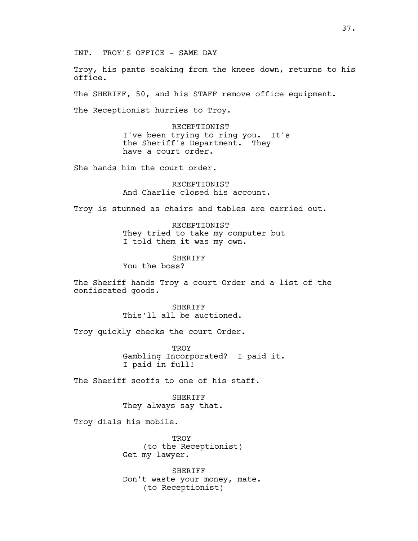INT. TROY'S OFFICE - SAME DAY

Troy, his pants soaking from the knees down, returns to his office.

The SHERIFF, 50, and his STAFF remove office equipment.

The Receptionist hurries to Troy.

RECEPTIONIST I've been trying to ring you. It's the Sheriff's Department. They have a court order.

She hands him the court order.

RECEPTIONIST And Charlie closed his account.

Troy is stunned as chairs and tables are carried out.

RECEPTIONIST They tried to take my computer but I told them it was my own.

SHERIFF

You the boss?

The Sheriff hands Troy a court Order and a list of the confiscated goods.

> SHERIFF This'll all be auctioned.

Troy quickly checks the court Order.

**TROY** Gambling Incorporated? I paid it. I paid in full!

The Sheriff scoffs to one of his staff.

**SHERIFF** They always say that.

Troy dials his mobile.

**TROY** (to the Receptionist) Get my lawyer.

**SHERIFF** Don't waste your money, mate. (to Receptionist)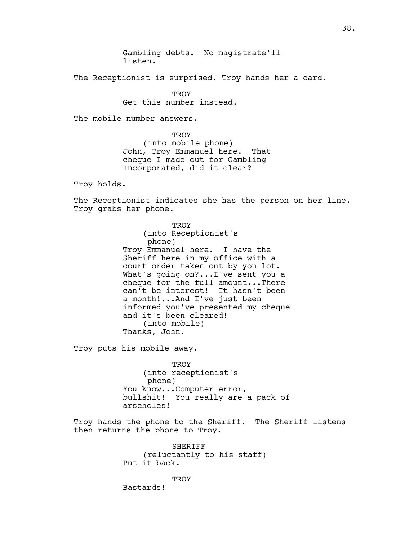Gambling debts. No magistrate'll listen.

The Receptionist is surprised. Troy hands her a card.

**TROY** Get this number instead.

The mobile number answers.

**TROY** (into mobile phone) John, Troy Emmanuel here. That cheque I made out for Gambling Incorporated, did it clear?

Troy holds.

The Receptionist indicates she has the person on her line. Troy grabs her phone.

> **TROY** (into Receptionist's phone) Troy Emmanuel here. I have the Sheriff here in my office with a court order taken out by you lot. What's going on?...I've sent you a cheque for the full amount...There can't be interest! It hasn't been a month!...And I've just been informed you've presented my cheque and it's been cleared! (into mobile) Thanks, John.

Troy puts his mobile away.

**TROY** (into receptionist's phone) You know...Computer error, bullshit! You really are a pack of arseholes!

Troy hands the phone to the Sheriff. The Sheriff listens then returns the phone to Troy.

> SHERIFF (reluctantly to his staff) Put it back.

**TROY** Bastards!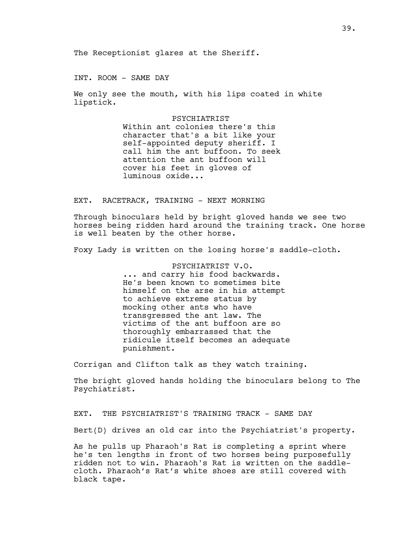The Receptionist glares at the Sheriff.

INT. ROOM - SAME DAY

We only see the mouth, with his lips coated in white lipstick.

#### PSYCHIATRIST

Within ant colonies there's this character that's a bit like your self-appointed deputy sheriff. I call him the ant buffoon. To seek attention the ant buffoon will cover his feet in gloves of luminous oxide...

EXT. RACETRACK, TRAINING - NEXT MORNING

Through binoculars held by bright gloved hands we see two horses being ridden hard around the training track. One horse is well beaten by the other horse.

Foxy Lady is written on the losing horse's saddle-cloth.

PSYCHIATRIST V.O. ... and carry his food backwards. He's been known to sometimes bite himself on the arse in his attempt to achieve extreme status by mocking other ants who have transgressed the ant law. The victims of the ant buffoon are so thoroughly embarrassed that the ridicule itself becomes an adequate punishment.

Corrigan and Clifton talk as they watch training.

The bright gloved hands holding the binoculars belong to The Psychiatrist.

EXT. THE PSYCHIATRIST'S TRAINING TRACK - SAME DAY Bert(D) drives an old car into the Psychiatrist's property.

As he pulls up Pharaoh's Rat is completing a sprint where he's ten lengths in front of two horses being purposefully ridden not to win. Pharaoh's Rat is written on the saddlecloth. Pharaoh's Rat's white shoes are still covered with black tape.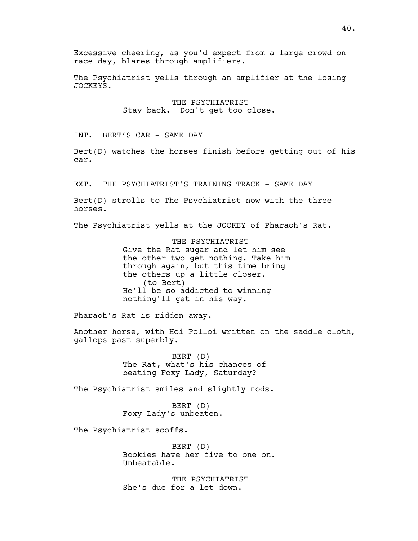Excessive cheering, as you'd expect from a large crowd on race day, blares through amplifiers.

The Psychiatrist yells through an amplifier at the losing JOCKEYS.

> THE PSYCHIATRIST Stay back. Don't get too close.

INT. BERT'S CAR - SAME DAY

 $Bert(D)$  watches the horses finish before getting out of his car.

EXT. THE PSYCHIATRIST'S TRAINING TRACK - SAME DAY

Bert(D) strolls to The Psychiatrist now with the three horses.

The Psychiatrist yells at the JOCKEY of Pharaoh's Rat.

THE PSYCHIATRIST Give the Rat sugar and let him see the other two get nothing. Take him through again, but this time bring the others up a little closer. (to Bert) He'll be so addicted to winning nothing'll get in his way.

Pharaoh's Rat is ridden away.

Another horse, with Hoi Polloi written on the saddle cloth, gallops past superbly.

> BERT (D) The Rat, what's his chances of beating Foxy Lady, Saturday?

The Psychiatrist smiles and slightly nods.

BERT (D) Foxy Lady's unbeaten.

The Psychiatrist scoffs.

BERT (D) Bookies have her five to one on. Unbeatable.

THE PSYCHIATRIST She's due for a let down.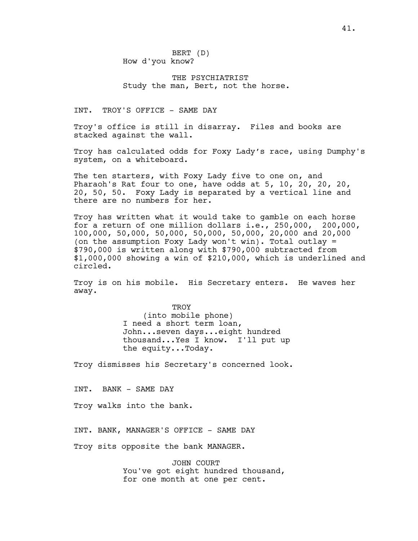BERT (D) How d'you know?

THE PSYCHIATRIST Study the man, Bert, not the horse.

#### INT. TROY'S OFFICE - SAME DAY

Troy's office is still in disarray. Files and books are stacked against the wall.

Troy has calculated odds for Foxy Lady's race, using Dumphy's system, on a whiteboard.

The ten starters, with Foxy Lady five to one on, and Pharaoh's Rat four to one, have odds at 5, 10, 20, 20, 20, 20, 50, 50. Foxy Lady is separated by a vertical line and there are no numbers for her.

Troy has written what it would take to gamble on each horse for a return of one million dollars i.e., 250,000, 200,000, 100,000, 50,000, 50,000, 50,000, 50,000, 20,000 and 20,000 (on the assumption Foxy Lady won't win). Total outlay = \$790,000 is written along with \$790,000 subtracted from \$1,000,000 showing a win of \$210,000, which is underlined and circled.

Troy is on his mobile. His Secretary enters. He waves her away.

> **TROY** (into mobile phone) I need a short term loan, John...seven days...eight hundred thousand...Yes I know. I'll put up the equity...Today.

Troy dismisses his Secretary's concerned look.

INT. BANK - SAME DAY

Troy walks into the bank.

INT. BANK, MANAGER'S OFFICE - SAME DAY

Troy sits opposite the bank MANAGER.

JOHN COURT You've got eight hundred thousand, for one month at one per cent.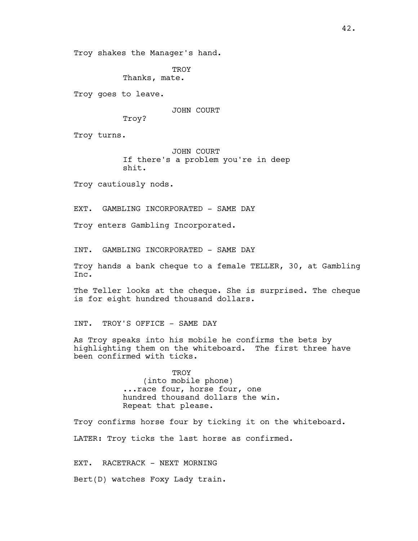Troy shakes the Manager's hand.

**TROY** Thanks, mate.

Troy goes to leave.

JOHN COURT

Troy?

Troy turns.

JOHN COURT If there's a problem you're in deep shit.

Troy cautiously nods.

EXT. GAMBLING INCORPORATED - SAME DAY

Troy enters Gambling Incorporated.

INT. GAMBLING INCORPORATED - SAME DAY

Troy hands a bank cheque to a female TELLER, 30, at Gambling Inc.

The Teller looks at the cheque. She is surprised. The cheque is for eight hundred thousand dollars.

INT. TROY'S OFFICE - SAME DAY

As Troy speaks into his mobile he confirms the bets by highlighting them on the whiteboard. The first three have been confirmed with ticks.

> **TROY** (into mobile phone) ...race four, horse four, one hundred thousand dollars the win. Repeat that please.

Troy confirms horse four by ticking it on the whiteboard. LATER: Troy ticks the last horse as confirmed.

EXT. RACETRACK - NEXT MORNING

Bert(D) watches Foxy Lady train.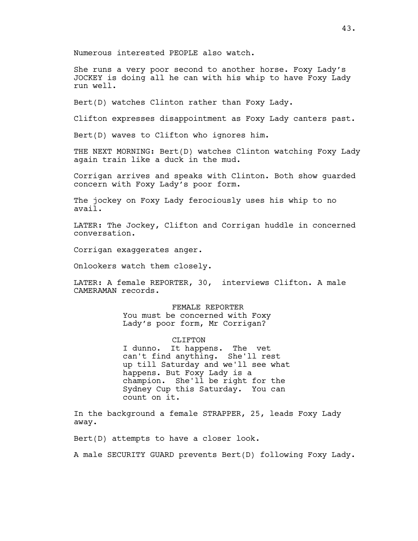Numerous interested PEOPLE also watch.

She runs a very poor second to another horse. Foxy Lady's JOCKEY is doing all he can with his whip to have Foxy Lady run well.

Bert(D) watches Clinton rather than Foxy Lady.

Clifton expresses disappointment as Foxy Lady canters past.

Bert(D) waves to Clifton who ignores him.

THE NEXT MORNING: Bert(D) watches Clinton watching Foxy Lady again train like a duck in the mud.

Corrigan arrives and speaks with Clinton. Both show guarded concern with Foxy Lady's poor form.

The jockey on Foxy Lady ferociously uses his whip to no avail.

LATER: The Jockey, Clifton and Corrigan huddle in concerned conversation.

Corrigan exaggerates anger.

Onlookers watch them closely.

LATER: A female REPORTER, 30, interviews Clifton. A male CAMERAMAN records.

> FEMALE REPORTER You must be concerned with Foxy Lady's poor form, Mr Corrigan?

CLIFTON I dunno. It happens. The vet can't find anything. She'll rest up till Saturday and we'll see what happens. But Foxy Lady is a champion. She'll be right for the Sydney Cup this Saturday. You can count on it.

In the background a female STRAPPER, 25, leads Foxy Lady away.

Bert(D) attempts to have a closer look.

A male SECURITY GUARD prevents Bert(D) following Foxy Lady.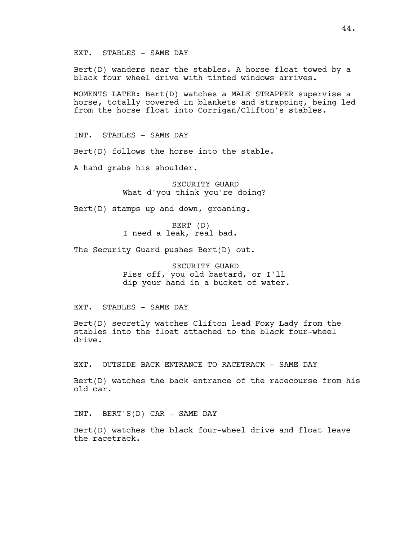EXT. STABLES - SAME DAY

Bert(D) wanders near the stables. A horse float towed by a black four wheel drive with tinted windows arrives.

MOMENTS LATER: Bert(D) watches a MALE STRAPPER supervise a horse, totally covered in blankets and strapping, being led from the horse float into Corrigan/Clifton's stables.

INT. STABLES - SAME DAY

Bert(D) follows the horse into the stable.

A hand grabs his shoulder.

SECURITY GUARD What d'you think you're doing?

Bert(D) stamps up and down, groaning.

BERT (D) I need a leak, real bad.

The Security Guard pushes Bert(D) out.

SECURITY GUARD Piss off, you old bastard, or I'll dip your hand in a bucket of water.

EXT. STABLES - SAME DAY

Bert(D) secretly watches Clifton lead Foxy Lady from the stables into the float attached to the black four-wheel drive.

EXT. OUTSIDE BACK ENTRANCE TO RACETRACK - SAME DAY

Bert(D) watches the back entrance of the racecourse from his old car.

INT. BERT'S(D) CAR - SAME DAY

Bert(D) watches the black four-wheel drive and float leave the racetrack.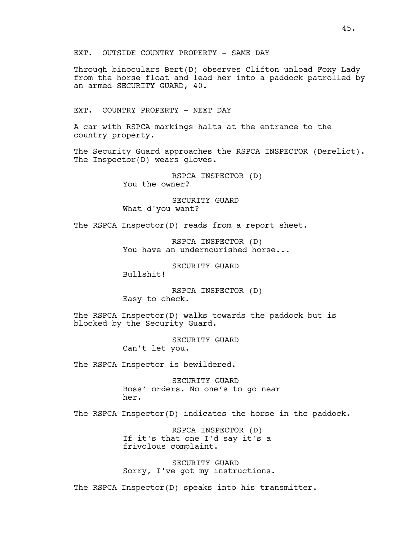Through binoculars Bert(D) observes Clifton unload Foxy Lady from the horse float and lead her into a paddock patrolled by an armed SECURITY GUARD, 40.

EXT. COUNTRY PROPERTY - NEXT DAY

A car with RSPCA markings halts at the entrance to the country property.

The Security Guard approaches the RSPCA INSPECTOR (Derelict). The Inspector(D) wears gloves.

> RSPCA INSPECTOR (D) You the owner?

SECURITY GUARD What d'you want?

The RSPCA Inspector(D) reads from a report sheet.

RSPCA INSPECTOR (D) You have an undernourished horse...

SECURITY GUARD

Bullshit!

RSPCA INSPECTOR (D) Easy to check.

The RSPCA Inspector(D) walks towards the paddock but is blocked by the Security Guard.

> SECURITY GUARD Can't let you.

The RSPCA Inspector is bewildered.

SECURITY GUARD Boss' orders. No one's to go near her.

The RSPCA Inspector(D) indicates the horse in the paddock.

RSPCA INSPECTOR (D) If it's that one I'd say it's a frivolous complaint.

SECURITY GUARD Sorry, I've got my instructions.

The RSPCA Inspector(D) speaks into his transmitter.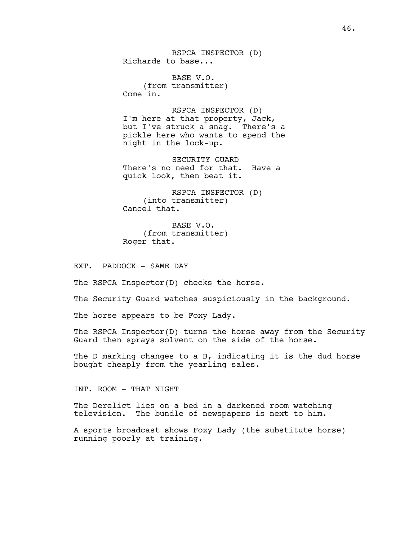RSPCA INSPECTOR (D) Richards to base...

BASE V.O. (from transmitter) Come in.

RSPCA INSPECTOR (D) I'm here at that property, Jack, but I've struck a snag. There's a pickle here who wants to spend the night in the lock-up.

SECURITY GUARD There's no need for that. Have a quick look, then beat it.

RSPCA INSPECTOR (D) (into transmitter) Cancel that.

BASE V.O. (from transmitter) Roger that.

EXT. PADDOCK - SAME DAY

The RSPCA Inspector(D) checks the horse.

The Security Guard watches suspiciously in the background.

The horse appears to be Foxy Lady.

The RSPCA Inspector(D) turns the horse away from the Security Guard then sprays solvent on the side of the horse.

The D marking changes to a B, indicating it is the dud horse bought cheaply from the yearling sales.

INT. ROOM - THAT NIGHT

The Derelict lies on a bed in a darkened room watching television. The bundle of newspapers is next to him.

A sports broadcast shows Foxy Lady (the substitute horse) running poorly at training.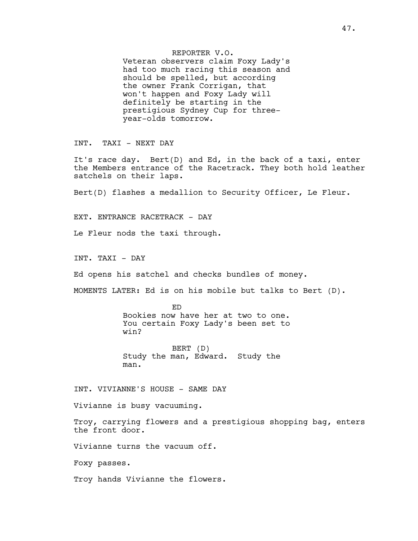REPORTER V.O.

Veteran observers claim Foxy Lady's had too much racing this season and should be spelled, but according the owner Frank Corrigan, that won't happen and Foxy Lady will definitely be starting in the prestigious Sydney Cup for threeyear-olds tomorrow.

INT. TAXI - NEXT DAY

It's race day. Bert(D) and Ed, in the back of a taxi, enter the Members entrance of the Racetrack. They both hold leather satchels on their laps.

Bert(D) flashes a medallion to Security Officer, Le Fleur.

EXT. ENTRANCE RACETRACK - DAY

Le Fleur nods the taxi through.

INT. TAXI - DAY

Ed opens his satchel and checks bundles of money.

MOMENTS LATER: Ed is on his mobile but talks to Bert (D).

ED Bookies now have her at two to one. You certain Foxy Lady's been set to win?

BERT (D) Study the man, Edward. Study the man.

INT. VIVIANNE'S HOUSE - SAME DAY

Vivianne is busy vacuuming.

Troy, carrying flowers and a prestigious shopping bag, enters the front door.

Vivianne turns the vacuum off.

Foxy passes.

Troy hands Vivianne the flowers.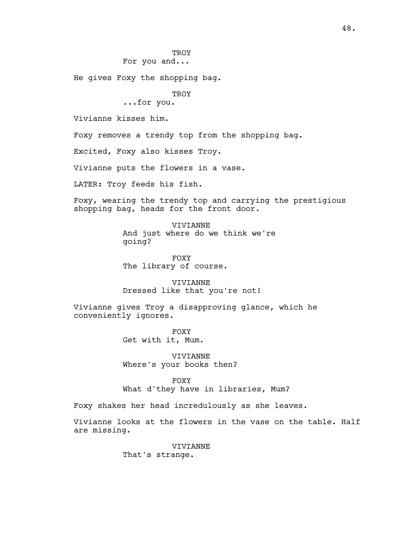He gives Foxy the shopping bag.

# **TROY**

...for you.

Vivianne kisses him.

Foxy removes a trendy top from the shopping bag.

Excited, Foxy also kisses Troy.

Vivianne puts the flowers in a vase.

LATER: Troy feeds his fish.

Foxy, wearing the trendy top and carrying the prestigious shopping bag, heads for the front door.

> VIVIANNE And just where do we think we're going?

FOXY The library of course.

VIVIANNE Dressed like that you're not!

Vivianne gives Troy a disapproving glance, which he conveniently ignores.

> FOXY Get with it, Mum.

VIVIANNE Where's your books then?

FOXY What d'they have in libraries, Mum?

Foxy shakes her head incredulously as she leaves.

Vivianne looks at the flowers in the vase on the table. Half are missing.

> VIVIANNE That's strange.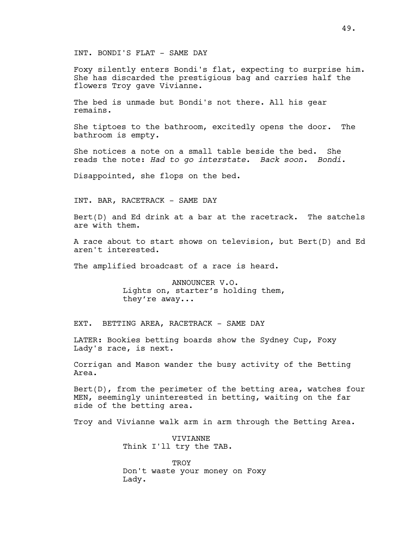INT. BONDI'S FLAT - SAME DAY

Foxy silently enters Bondi's flat, expecting to surprise him. She has discarded the prestigious bag and carries half the flowers Troy gave Vivianne.

The bed is unmade but Bondi's not there. All his gear remains.

She tiptoes to the bathroom, excitedly opens the door. The bathroom is empty.

She notices a note on a small table beside the bed. She reads the note: Had to go interstate. Back soon. Bondi.

Disappointed, she flops on the bed.

INT. BAR, RACETRACK - SAME DAY

 $Bert(D)$  and Ed drink at a bar at the racetrack. The satchels are with them.

A race about to start shows on television, but Bert(D) and Ed aren't interested.

The amplified broadcast of a race is heard.

ANNOUNCER V.O. Lights on, starter's holding them, they're away...

EXT. BETTING AREA, RACETRACK - SAME DAY

LATER: Bookies betting boards show the Sydney Cup, Foxy Lady's race, is next.

Corrigan and Mason wander the busy activity of the Betting Area.

Bert(D), from the perimeter of the betting area, watches four MEN, seemingly uninterested in betting, waiting on the far side of the betting area.

Troy and Vivianne walk arm in arm through the Betting Area.

VIVIANNE Think I'll try the TAB.

**TROY** Don't waste your money on Foxy Lady.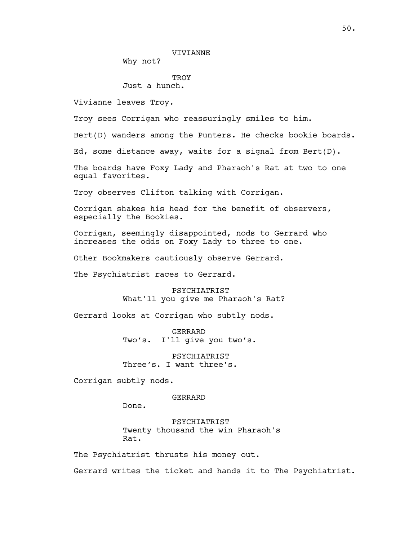Why not?

## TROY Just a hunch.

Vivianne leaves Troy.

Troy sees Corrigan who reassuringly smiles to him.

Bert(D) wanders among the Punters. He checks bookie boards.

Ed, some distance away, waits for a signal from Bert(D).

The boards have Foxy Lady and Pharaoh's Rat at two to one equal favorites.

Troy observes Clifton talking with Corrigan.

Corrigan shakes his head for the benefit of observers, especially the Bookies.

Corrigan, seemingly disappointed, nods to Gerrard who increases the odds on Foxy Lady to three to one.

Other Bookmakers cautiously observe Gerrard.

The Psychiatrist races to Gerrard.

PSYCHIATRIST What'll you give me Pharaoh's Rat?

Gerrard looks at Corrigan who subtly nods.

GERRARD Two's. I'll give you two's.

PSYCHIATRIST Three's. I want three's.

Corrigan subtly nods.

GERRARD

Done.

PSYCHIATRIST Twenty thousand the win Pharaoh's Rat.

The Psychiatrist thrusts his money out.

Gerrard writes the ticket and hands it to The Psychiatrist.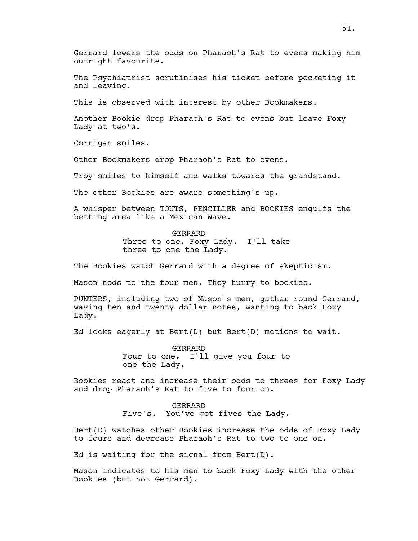Gerrard lowers the odds on Pharaoh's Rat to evens making him outright favourite.

The Psychiatrist scrutinises his ticket before pocketing it and leaving.

This is observed with interest by other Bookmakers.

Another Bookie drop Pharaoh's Rat to evens but leave Foxy Lady at two's.

Corrigan smiles.

Other Bookmakers drop Pharaoh's Rat to evens.

Troy smiles to himself and walks towards the grandstand.

The other Bookies are aware something's up.

A whisper between TOUTS, PENCILLER and BOOKIES engulfs the betting area like a Mexican Wave.

**GERRARD** 

Three to one, Foxy Lady. I'll take three to one the Lady.

The Bookies watch Gerrard with a degree of skepticism.

Mason nods to the four men. They hurry to bookies.

PUNTERS, including two of Mason's men, gather round Gerrard, waving ten and twenty dollar notes, wanting to back Foxy Lady.

Ed looks eagerly at Bert(D) but Bert(D) motions to wait.

GERRARD Four to one. I'll give you four to one the Lady.

Bookies react and increase their odds to threes for Foxy Lady and drop Pharaoh's Rat to five to four on.

> GERRARD Five's. You've got fives the Lady.

Bert(D) watches other Bookies increase the odds of Foxy Lady to fours and decrease Pharaoh's Rat to two to one on.

Ed is waiting for the signal from Bert(D).

Mason indicates to his men to back Foxy Lady with the other Bookies (but not Gerrard).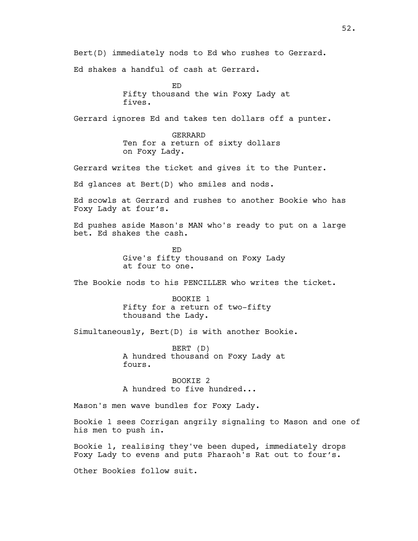Bert(D) immediately nods to Ed who rushes to Gerrard.

Ed shakes a handful of cash at Gerrard.

ED Fifty thousand the win Foxy Lady at fives.

Gerrard ignores Ed and takes ten dollars off a punter.

GERRARD Ten for a return of sixty dollars on Foxy Lady.

Gerrard writes the ticket and gives it to the Punter.

Ed glances at Bert(D) who smiles and nods.

Ed scowls at Gerrard and rushes to another Bookie who has Foxy Lady at four's.

Ed pushes aside Mason's MAN who's ready to put on a large bet. Ed shakes the cash.

> ED Give's fifty thousand on Foxy Lady at four to one.

The Bookie nods to his PENCILLER who writes the ticket.

BOOKIE 1 Fifty for a return of two-fifty thousand the Lady.

Simultaneously, Bert(D) is with another Bookie.

BERT (D) A hundred thousand on Foxy Lady at fours.

BOOKIE 2 A hundred to five hundred...

Mason's men wave bundles for Foxy Lady.

Bookie 1 sees Corrigan angrily signaling to Mason and one of his men to push in.

Bookie 1, realising they've been duped, immediately drops Foxy Lady to evens and puts Pharaoh's Rat out to four's.

Other Bookies follow suit.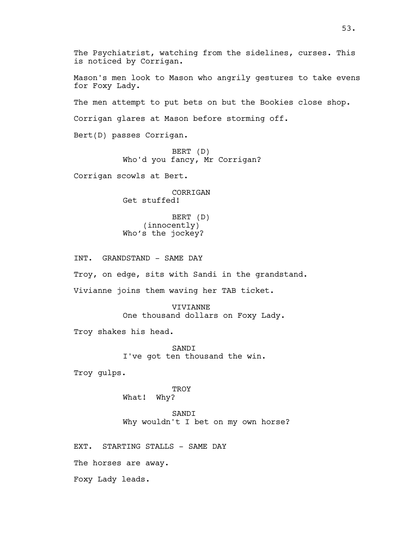The Psychiatrist, watching from the sidelines, curses. This is noticed by Corrigan. Mason's men look to Mason who angrily gestures to take evens for Foxy Lady. The men attempt to put bets on but the Bookies close shop. Corrigan glares at Mason before storming off. Bert(D) passes Corrigan. BERT (D) Who'd you fancy, Mr Corrigan? Corrigan scowls at Bert. CORRIGAN Get stuffed! BERT (D) (innocently) Who's the jockey? INT. GRANDSTAND - SAME DAY Troy, on edge, sits with Sandi in the grandstand. Vivianne joins them waving her TAB ticket. VIVIANNE One thousand dollars on Foxy Lady. Troy shakes his head. **SANDI** I've got ten thousand the win. Troy gulps.

> **TROY** What! Why?

SANDI Why wouldn't I bet on my own horse?

EXT. STARTING STALLS - SAME DAY

The horses are away.

Foxy Lady leads.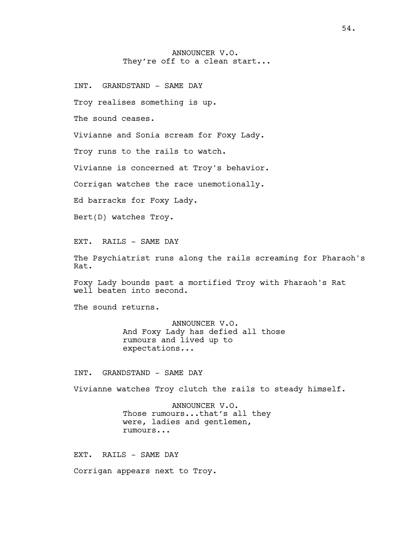# ANNOUNCER V.O. They're off to a clean start...

INT. GRANDSTAND - SAME DAY

Troy realises something is up.

The sound ceases.

Vivianne and Sonia scream for Foxy Lady.

Troy runs to the rails to watch.

Vivianne is concerned at Troy's behavior.

Corrigan watches the race unemotionally.

Ed barracks for Foxy Lady.

Bert(D) watches Troy.

EXT. RAILS - SAME DAY

The Psychiatrist runs along the rails screaming for Pharaoh's Rat.

Foxy Lady bounds past a mortified Troy with Pharaoh's Rat well beaten into second.

The sound returns.

ANNOUNCER V.O. And Foxy Lady has defied all those rumours and lived up to expectations...

INT. GRANDSTAND - SAME DAY

Vivianne watches Troy clutch the rails to steady himself.

ANNOUNCER V.O. Those rumours...that's all they were, ladies and gentlemen, rumours...

EXT. RAILS - SAME DAY

Corrigan appears next to Troy.